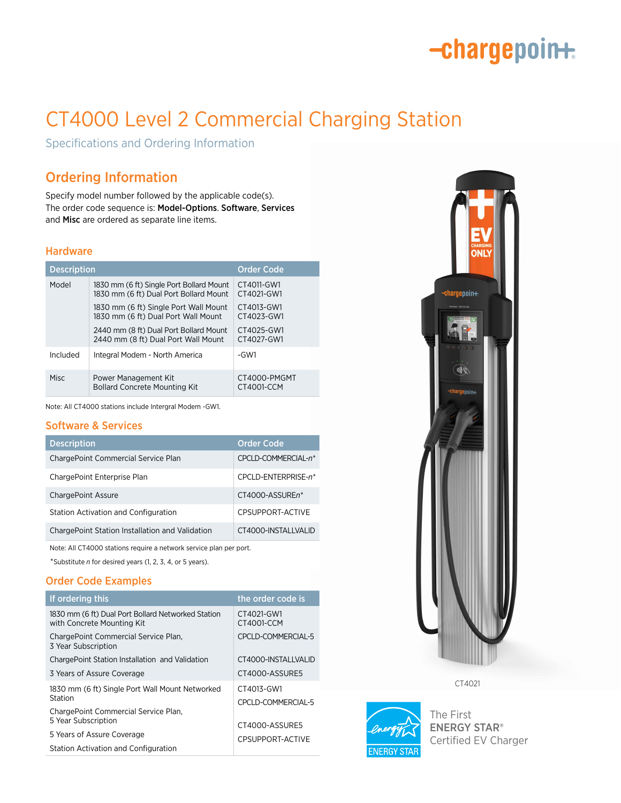# -chargepoin+

## CT4000 Level 2 Commercial Charging Station

Specifications and Ordering Information

### Ordering Information

Specify model number followed by the applicable code(s). The order code sequence is: Model-Options. Software, Services and Misc are ordered as separate line items.

#### **Hardware**

| <b>Description</b> |                                                                                    | <b>Order Code</b>          |
|--------------------|------------------------------------------------------------------------------------|----------------------------|
| Model              | 1830 mm (6 ft) Single Port Bollard Mount<br>1830 mm (6 ft) Dual Port Bollard Mount | CT4011-GW1<br>CT4021-GW1   |
|                    | 1830 mm (6 ft) Single Port Wall Mount<br>1830 mm (6 ft) Dual Port Wall Mount       | CT4013-GW1<br>CT4023-GW1   |
|                    | 2440 mm (8 ft) Dual Port Bollard Mount<br>2440 mm (8 ft) Dual Port Wall Mount      | CT4025-GW1<br>CT4027-GW1   |
| Included           | Integral Modem - North America                                                     | -GW1                       |
| Misc               | Power Management Kit<br><b>Bollard Concrete Mounting Kit</b>                       | CT4000-PMGMT<br>CT4001-CCM |

Note: All CT4000 stations include Intergral Modem -GW1.

### Software & Services

| <b>Description</b>                              | <b>Order Code</b>               |
|-------------------------------------------------|---------------------------------|
| ChargePoint Commercial Service Plan             | CPCLD-COMMERCIAL-n <sup>*</sup> |
| ChargePoint Enterprise Plan                     | CPCLD-ENTERPRISE-n*             |
| <b>ChargePoint Assure</b>                       | CT4000-ASSUREn*                 |
| Station Activation and Configuration            | CPSUPPORT-ACTIVE                |
| ChargePoint Station Installation and Validation | CT4000-INSTALLVALID             |

Note: All CT4000 stations require a network service plan per port.

*\**Substitute *n* for desired years (1, 2, 3, 4, or 5 years).

#### Order Code Examples

| If ordering this                                                                 | the order code is                |
|----------------------------------------------------------------------------------|----------------------------------|
| 1830 mm (6 ft) Dual Port Bollard Networked Station<br>with Concrete Mounting Kit | CT4021-GW1<br>CT4001-CCM         |
| ChargePoint Commercial Service Plan,<br>3 Year Subscription                      | CPCLD-COMMERCIAL-5               |
| ChargePoint Station Installation and Validation                                  | CT4000-INSTALLVALID              |
| 3 Years of Assure Coverage                                                       | CT4000-ASSURE5                   |
| 1830 mm (6 ft) Single Port Wall Mount Networked<br>Station                       | CT4013-GW1<br>CPCLD-COMMERCIAL-5 |
| ChargePoint Commercial Service Plan.<br>5 Year Subscription                      | CT4000-ASSURE5                   |
| 5 Years of Assure Coverage                                                       | CPSUPPORT-ACTIVE                 |
| Station Activation and Configuration                                             |                                  |



CT4021



The First ENERGY STAR® Certified EV Charger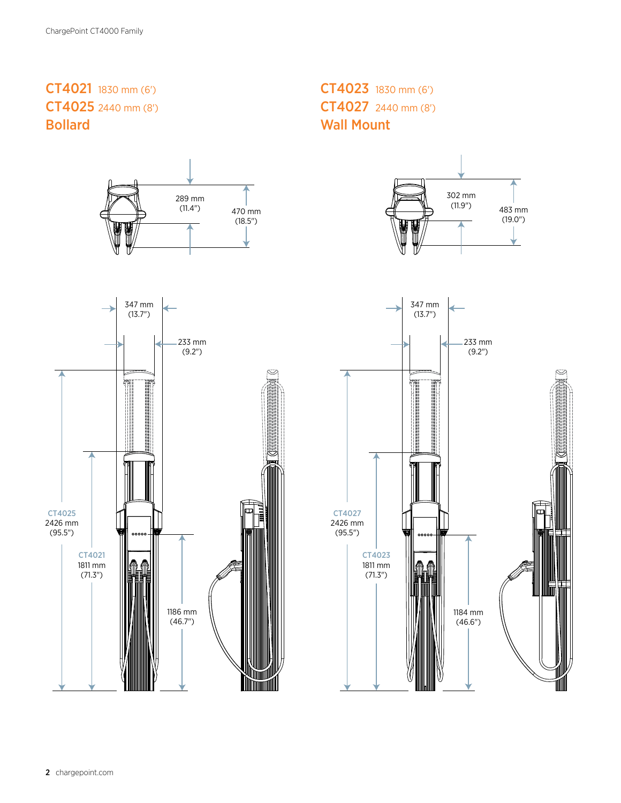### CT4021 1830 mm (6') CT4025 2440 mm (8') Bollard



### CT4023 1830 mm (6') CT4027 2440 mm (8') Wall Mount



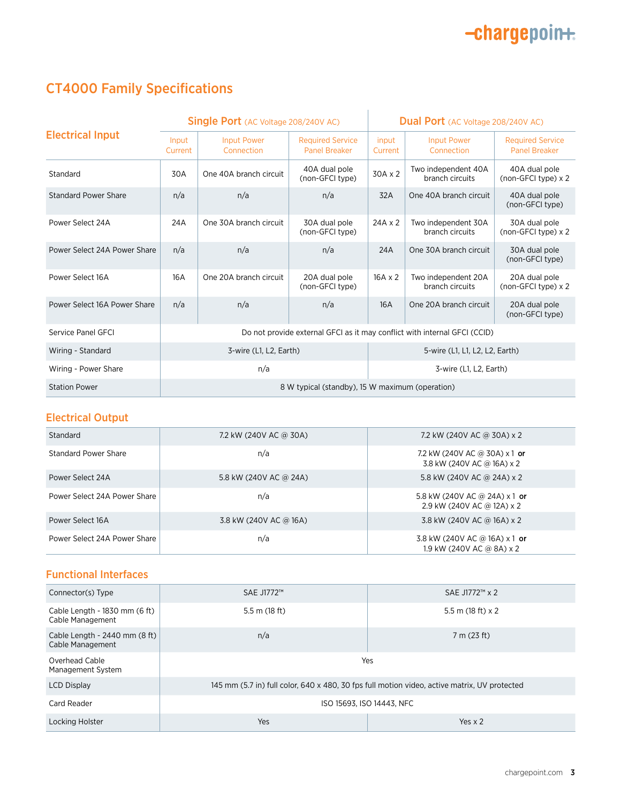## -chargepoin+

## CT4000 Family Specifications

|                              | Single Port (AC Voltage 208/240V AC)                                      |                                  | Dual Port (AC Voltage 208/240V AC)              |                  |                                        |                                                 |
|------------------------------|---------------------------------------------------------------------------|----------------------------------|-------------------------------------------------|------------------|----------------------------------------|-------------------------------------------------|
| <b>Electrical Input</b>      | Input<br>Current                                                          | <b>Input Power</b><br>Connection | <b>Required Service</b><br><b>Panel Breaker</b> | input<br>Current | <b>Input Power</b><br>Connection       | <b>Required Service</b><br><b>Panel Breaker</b> |
| Standard                     | 30A                                                                       | One 40A branch circuit           | 40A dual pole<br>(non-GFCI type)                | 30A x 2          | Two independent 40A<br>branch circuits | 40A dual pole<br>$(non-GFCI type) \times 2$     |
| <b>Standard Power Share</b>  | n/a                                                                       | n/a                              | n/a                                             | 32A              | One 40A branch circuit                 | 40A dual pole<br>(non-GFCI type)                |
| Power Select 24A             | 24A                                                                       | One 30A branch circuit           | 30A dual pole<br>(non-GFCI type)                | $24A \times 2$   | Two independent 30A<br>branch circuits | 30A dual pole<br>(non-GFCI type) x 2            |
| Power Select 24A Power Share | n/a                                                                       | n/a                              | n/a                                             | 24A              | One 30A branch circuit                 | 30A dual pole<br>(non-GFCI type)                |
| Power Select 16A             | 16A                                                                       | One 20A branch circuit           | 20A dual pole<br>(non-GFCI type)                | $16A \times 2$   | Two independent 20A<br>branch circuits | 20A dual pole<br>(non-GFCI type) x 2            |
| Power Select 16A Power Share | n/a                                                                       | n/a                              | n/a                                             | <b>16A</b>       | One 20A branch circuit                 | 20A dual pole<br>(non-GFCI type)                |
| Service Panel GFCI           | Do not provide external GFCI as it may conflict with internal GFCI (CCID) |                                  |                                                 |                  |                                        |                                                 |
| Wiring - Standard            | 3-wire (L1, L2, Earth)                                                    |                                  | 5-wire (L1, L1, L2, L2, Earth)                  |                  |                                        |                                                 |
| Wiring - Power Share         | n/a                                                                       |                                  | 3-wire (L1, L2, Earth)                          |                  |                                        |                                                 |
| <b>Station Power</b>         | 8 W typical (standby), 15 W maximum (operation)                           |                                  |                                                 |                  |                                        |                                                 |

### Electrical Output

| Standard                     | 7.2 kW (240V AC @ 30A) | 7.2 kW (240V AC @ 30A) x 2                                                |
|------------------------------|------------------------|---------------------------------------------------------------------------|
| Standard Power Share         | n/a                    | 7.2 kW (240V AC @ 30A) $\times$ 1 or<br>3.8 kW (240V AC @ 16A) $\times$ 2 |
| Power Select 24A             | 5.8 kW (240V AC @ 24A) | 5.8 kW (240V AC @ 24A) x 2                                                |
| Power Select 24A Power Share | n/a                    | 5.8 kW (240V AC @ 24A) x 1 or<br>2.9 kW (240V AC @ 12A) x 2               |
| Power Select 16A             | 3.8 kW (240V AC @ 16A) | 3.8 kW (240V AC @ 16A) x 2                                                |
| Power Select 24A Power Share | n/a                    | 3.8 kW (240V AC @ 16A) $\times$ 1 or<br>1.9 kW (240V AC @ 8A) x 2         |

### Functional Interfaces

| Connector(s) Type                                 | SAE J1772™                                                                                   | SAE J1772™ x 2           |  |
|---------------------------------------------------|----------------------------------------------------------------------------------------------|--------------------------|--|
| Cable Length - 1830 mm (6 ft)<br>Cable Management | 5.5 m $(18 ft)$                                                                              | 5.5 m $(18 ft) \times 2$ |  |
| Cable Length - 2440 mm (8 ft)<br>Cable Management | n/a                                                                                          | 7 m (23 ft)              |  |
| Overhead Cable<br>Management System               | Yes                                                                                          |                          |  |
| <b>LCD Display</b>                                | 145 mm (5.7 in) full color, 640 x 480, 30 fps full motion video, active matrix, UV protected |                          |  |
| Card Reader                                       | ISO 15693, ISO 14443, NFC                                                                    |                          |  |
| Locking Holster                                   | Yes                                                                                          | Yes $\times$ 2           |  |